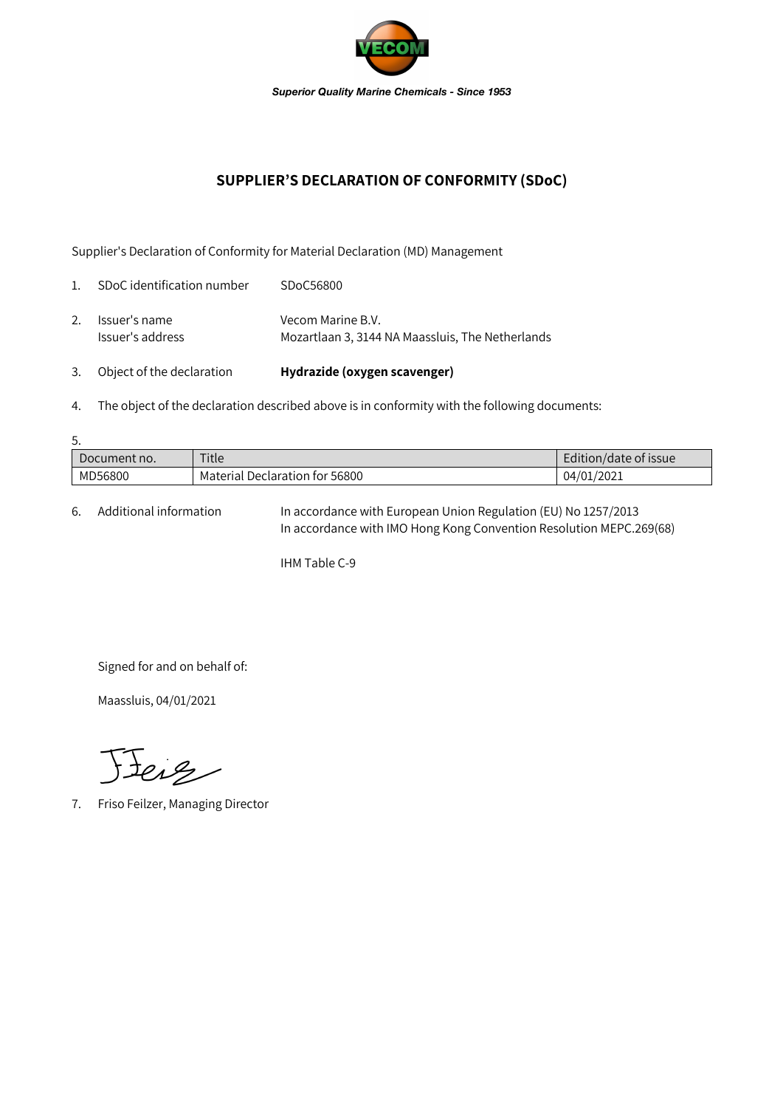

## **SUPPLIER'S DECLARATION OF CONFORMITY (SDoC)**

Supplier's Declaration of Conformity for Material Declaration (MD) Management

| 3.             | Object of the declaration         | Hydrazide (oxygen scavenger)                                          |
|----------------|-----------------------------------|-----------------------------------------------------------------------|
| 2.             | Issuer's name<br>Issuer's address | Vecom Marine B.V.<br>Mozartlaan 3, 3144 NA Maassluis, The Netherlands |
| $\mathbf{1}$ . | SDoC identification number        | SDoC56800                                                             |

4. The object of the declaration described above is in conformity with the following documents:

| 5.           |                                |                       |  |  |  |
|--------------|--------------------------------|-----------------------|--|--|--|
| Document no. | Title                          | Edition/date of issue |  |  |  |
| MD56800      | Material Declaration for 56800 | 04/01/2021            |  |  |  |

6. Additional information In accordance with European Union Regulation (EU) No 1257/2013 In accordance with IMO Hong Kong Convention Resolution MEPC.269(68)

IHM Table C-9

Signed for and on behalf of:

Maassluis, 04/01/2021

Feig

7. Friso Feilzer, Managing Director